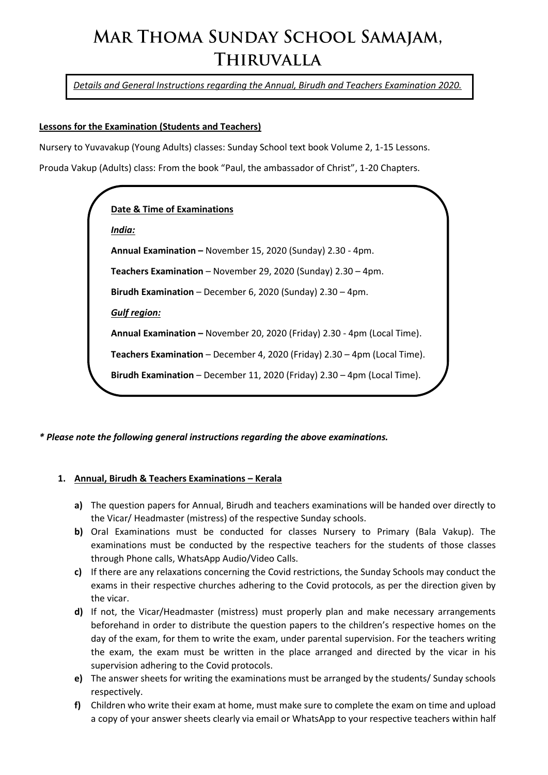# MAR THOMA SUNDAY SCHOOL SAMAJAM, **THIRUVALLA**

*Details and General Instructions regarding the Annual, Birudh and Teachers Examination 2020.*

## **Lessons for the Examination (Students and Teachers)**

Nursery to Yuvavakup (Young Adults) classes: Sunday School text book Volume 2, 1-15 Lessons.

Prouda Vakup (Adults) class: From the book "Paul, the ambassador of Christ", 1-20 Chapters.



*\* Please note the following general instructions regarding the above examinations.*

#### **1. Annual, Birudh & Teachers Examinations – Kerala**

- **a)** The question papers for Annual, Birudh and teachers examinations will be handed over directly to the Vicar/ Headmaster (mistress) of the respective Sunday schools.
- **b)** Oral Examinations must be conducted for classes Nursery to Primary (Bala Vakup). The examinations must be conducted by the respective teachers for the students of those classes through Phone calls, WhatsApp Audio/Video Calls.
- **c)** If there are any relaxations concerning the Covid restrictions, the Sunday Schools may conduct the exams in their respective churches adhering to the Covid protocols, as per the direction given by the vicar.
- **d)** If not, the Vicar/Headmaster (mistress) must properly plan and make necessary arrangements beforehand in order to distribute the question papers to the children's respective homes on the day of the exam, for them to write the exam, under parental supervision. For the teachers writing the exam, the exam must be written in the place arranged and directed by the vicar in his supervision adhering to the Covid protocols.
- **e)** The answer sheets for writing the examinations must be arranged by the students/ Sunday schools respectively.
- **f)** Children who write their exam at home, must make sure to complete the exam on time and upload a copy of your answer sheets clearly via email or WhatsApp to your respective teachers within half